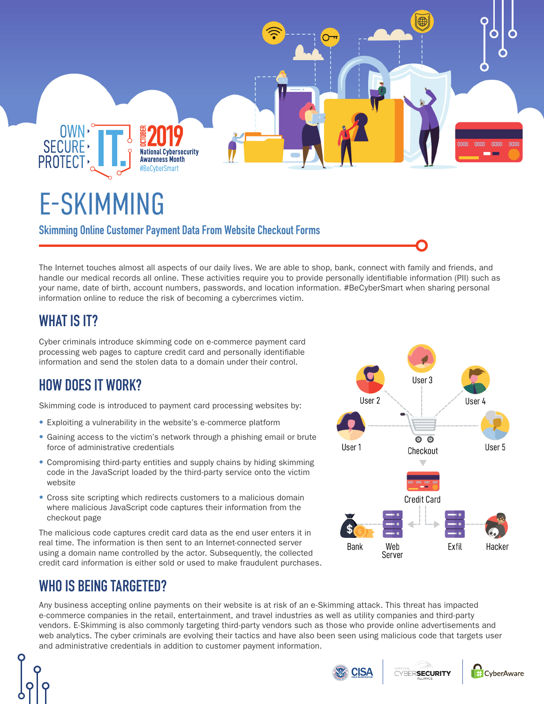

# E-SKIMMING

**Skimming Online Customer Payment Data From Website Checkout Forms**

The Internet touches almost all aspects of our daily lives. We are able to shop, bank, connect with family and friends, and handle our medical records all online. These activities require you to provide personally identifiable information (PII) such as your name, date of birth, account numbers, passwords, and location information. #BeCyberSmart when sharing personal information online to reduce the risk of becoming a cybercrimes victim.

# **WHAT IS IT?**

Cyber criminals introduce skimming code on e-commerce payment card processing web pages to capture credit card and personally identifiable information and send the stolen data to a domain under their control.

# **HOW DOES IT WORK?**

Skimming code is introduced to payment card processing websites by:

- Exploiting a vulnerability in the website's e-commerce platform
- Gaining access to the victim's network through a phishing email or brute force of administrative credentials
- Compromising third-party entities and supply chains by hiding skimming code in the JavaScript loaded by the third-party service onto the victim website
- Cross site scripting which redirects customers to a malicious domain where malicious JavaScript code captures their information from the checkout page

The malicious code captures credit card data as the end user enters it in real time. The information is then sent to an Internet-connected server using a domain name controlled by the actor. Subsequently, the collected credit card information is either sold or used to make fraudulent purchases.

## **WHO IS BEING TARGETED?**

Any business accepting online payments on their website is at risk of an e-Skimming attack. This threat has impacted e-commerce companies in the retail, entertainment, and travel industries as well as utility companies and third-party vendors. E-Skimming is also commonly targeting third-party vendors such as those who provide online advertisements and web analytics. The cyber criminals are evolving their tactics and have also been seen using malicious code that targets user and administrative credentials in addition to customer payment information.